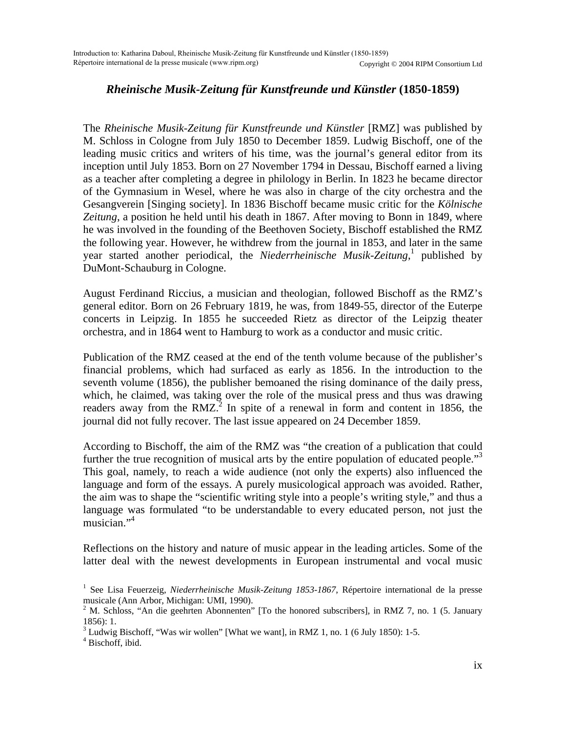## *Rheinische Musik-Zeitung für Kunstfreunde und Künstler* **(1850-1859)**

The *Rheinische Musik-Zeitung für Kunstfreunde und Künstler* [RMZ] was published by M. Schloss in Cologne from July 1850 to December 1859. Ludwig Bischoff, one of the leading music critics and writers of his time, was the journal's general editor from its inception until July 1853. Born on 27 November 1794 in Dessau, Bischoff earned a living as a teacher after completing a degree in philology in Berlin. In 1823 he became director of the Gymnasium in Wesel, where he was also in charge of the city orchestra and the Gesangverein [Singing society]. In 1836 Bischoff became music critic for the *Kölnische Zeitung*, a position he held until his death in 1867. After moving to Bonn in 1849, where he was involved in the founding of the Beethoven Society, Bischoff established the RMZ the following year. However, he withdrew from the journal in 1853, and later in the same year started another periodical, the *Niederrheinische Musik-Zeitung*, 1 published by DuMont-Schauburg in Cologne.

August Ferdinand Riccius, a musician and theologian, followed Bischoff as the RMZ's general editor. Born on 26 February 1819, he was, from 1849-55, director of the Euterpe concerts in Leipzig. In 1855 he succeeded Rietz as director of the Leipzig theater orchestra, and in 1864 went to Hamburg to work as a conductor and music critic.

Publication of the RMZ ceased at the end of the tenth volume because of the publisher's financial problems, which had surfaced as early as 1856. In the introduction to the seventh volume (1856), the publisher bemoaned the rising dominance of the daily press, which, he claimed, was taking over the role of the musical press and thus was drawing readers away from the RMZ.<sup>[2](#page-0-1)</sup> In spite of a renewal in form and content in 1856, the journal did not fully recover. The last issue appeared on 24 December 1859.

According to Bischoff, the aim of the RMZ was "the creation of a publication that could further the true recognition of musical arts by the entire population of educated people."<sup>3</sup> This goal, namely, to reach a wide audience (not only the experts) also influenced the language and form of the essays. A purely musicological approach was avoided. Rather, the aim was to shape the "scientific writing style into a people's writing style," and thus a language was formulated "to be understandable to every educated person, not just the musician."<sup>[4](#page-0-3)</sup>

Reflections on the history and nature of music appear in the leading articles. Some of the latter deal with the newest developments in European instrumental and vocal music

<span id="page-0-0"></span><sup>&</sup>lt;sup>1</sup> See Lisa Feuerzeig, *Niederrheinische Musik-Zeitung 1853-1867*, Répertoire international de la presse musicale (Ann Arbor, Michigan: UMI, 1990). 2

<span id="page-0-1"></span> $2$  M. Schloss, "An die geehrten Abonnenten" [To the honored subscribers], in RMZ 7, no. 1 (5. January 1856): 1.

<span id="page-0-2"></span> $3$  Ludwig Bischoff, "Was wir wollen" [What we want], in RMZ 1, no. 1 (6 July 1850): 1-5.

<span id="page-0-3"></span><sup>4</sup> Bischoff, ibid.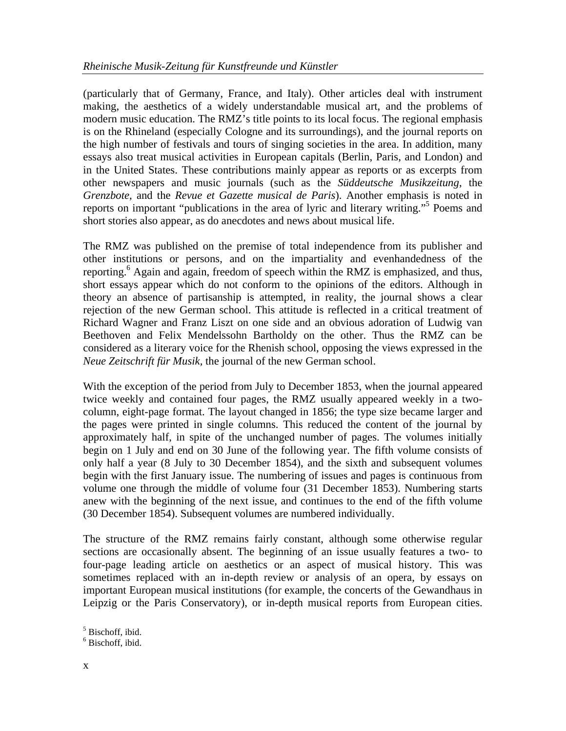(particularly that of Germany, France, and Italy). Other articles deal with instrument making, the aesthetics of a widely understandable musical art, and the problems of modern music education. The RMZ's title points to its local focus. The regional emphasis is on the Rhineland (especially Cologne and its surroundings), and the journal reports on the high number of festivals and tours of singing societies in the area. In addition, many essays also treat musical activities in European capitals (Berlin, Paris, and London) and in the United States. These contributions mainly appear as reports or as excerpts from other newspapers and music journals (such as the *Süddeutsche Musikzeitung*, the *Grenzbote*, and the *Revue et Gazette musical de Paris*). Another emphasis is noted in reports on important "publications in the area of lyric and literary writing."<sup>[5](#page-1-0)</sup> Poems and short stories also appear, as do anecdotes and news about musical life.

The RMZ was published on the premise of total independence from its publisher and other institutions or persons, and on the impartiality and evenhandedness of the reporting.<sup>6</sup> Again and again, freedom of speech within the RMZ is emphasized, and thus, short essays appear which do not conform to the opinions of the editors. Although in theory an absence of partisanship is attempted, in reality, the journal shows a clear rejection of the new German school. This attitude is reflected in a critical treatment of Richard Wagner and Franz Liszt on one side and an obvious adoration of Ludwig van Beethoven and Felix Mendelssohn Bartholdy on the other. Thus the RMZ can be considered as a literary voice for the Rhenish school, opposing the views expressed in the *Neue Zeitschrift für Musik,* the journal of the new German school.

With the exception of the period from July to December 1853, when the journal appeared twice weekly and contained four pages, the RMZ usually appeared weekly in a twocolumn, eight-page format. The layout changed in 1856; the type size became larger and the pages were printed in single columns. This reduced the content of the journal by approximately half, in spite of the unchanged number of pages. The volumes initially begin on 1 July and end on 30 June of the following year. The fifth volume consists of only half a year (8 July to 30 December 1854), and the sixth and subsequent volumes begin with the first January issue. The numbering of issues and pages is continuous from volume one through the middle of volume four (31 December 1853). Numbering starts anew with the beginning of the next issue, and continues to the end of the fifth volume (30 December 1854). Subsequent volumes are numbered individually.

The structure of the RMZ remains fairly constant, although some otherwise regular sections are occasionally absent. The beginning of an issue usually features a two- to four-page leading article on aesthetics or an aspect of musical history. This was sometimes replaced with an in-depth review or analysis of an opera, by essays on important European musical institutions (for example, the concerts of the Gewandhaus in Leipzig or the Paris Conservatory), or in-depth musical reports from European cities.

<span id="page-1-0"></span>5 Bischoff, ibid.

<span id="page-1-1"></span><sup>6</sup> Bischoff, ibid.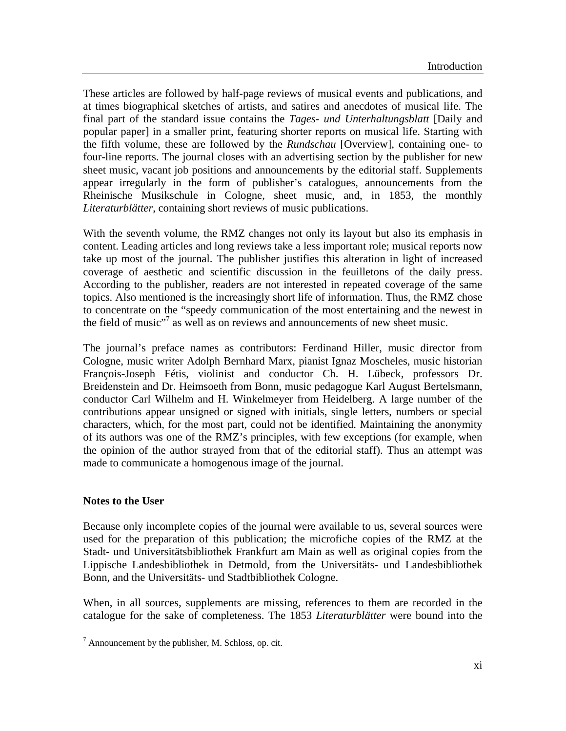These articles are followed by half-page reviews of musical events and publications, and at times biographical sketches of artists, and satires and anecdotes of musical life. The final part of the standard issue contains the *Tages- und Unterhaltungsblatt* [Daily and popular paper] in a smaller print, featuring shorter reports on musical life. Starting with the fifth volume, these are followed by the *Rundschau* [Overview], containing one- to four-line reports. The journal closes with an advertising section by the publisher for new sheet music, vacant job positions and announcements by the editorial staff. Supplements appear irregularly in the form of publisher's catalogues, announcements from the Rheinische Musikschule in Cologne, sheet music, and, in 1853, the monthly *Literaturblätter*, containing short reviews of music publications.

With the seventh volume, the RMZ changes not only its layout but also its emphasis in content. Leading articles and long reviews take a less important role; musical reports now take up most of the journal. The publisher justifies this alteration in light of increased coverage of aesthetic and scientific discussion in the feuilletons of the daily press. According to the publisher, readers are not interested in repeated coverage of the same topics. Also mentioned is the increasingly short life of information. Thus, the RMZ chose to concentrate on the "speedy communication of the most entertaining and the newest in the field of music"<sup>[7](#page-2-0)</sup> as well as on reviews and announcements of new sheet music.

The journal's preface names as contributors: Ferdinand Hiller, music director from Cologne, music writer Adolph Bernhard Marx, pianist Ignaz Moscheles, music historian François-Joseph Fétis, violinist and conductor Ch. H. Lübeck, professors Dr. Breidenstein and Dr. Heimsoeth from Bonn, music pedagogue Karl August Bertelsmann, conductor Carl Wilhelm and H. Winkelmeyer from Heidelberg. A large number of the contributions appear unsigned or signed with initials, single letters, numbers or special characters, which, for the most part, could not be identified. Maintaining the anonymity of its authors was one of the RMZ's principles, with few exceptions (for example, when the opinion of the author strayed from that of the editorial staff). Thus an attempt was made to communicate a homogenous image of the journal.

## **Notes to the User**

Because only incomplete copies of the journal were available to us, several sources were used for the preparation of this publication; the microfiche copies of the RMZ at the Stadt- und Universitätsbibliothek Frankfurt am Main as well as original copies from the Lippische Landesbibliothek in Detmold, from the Universitäts- und Landesbibliothek Bonn, and the Universitäts- und Stadtbibliothek Cologne.

When, in all sources, supplements are missing, references to them are recorded in the catalogue for the sake of completeness. The 1853 *Literaturblätter* were bound into the

<span id="page-2-0"></span> $7$  Announcement by the publisher, M. Schloss, op. cit.